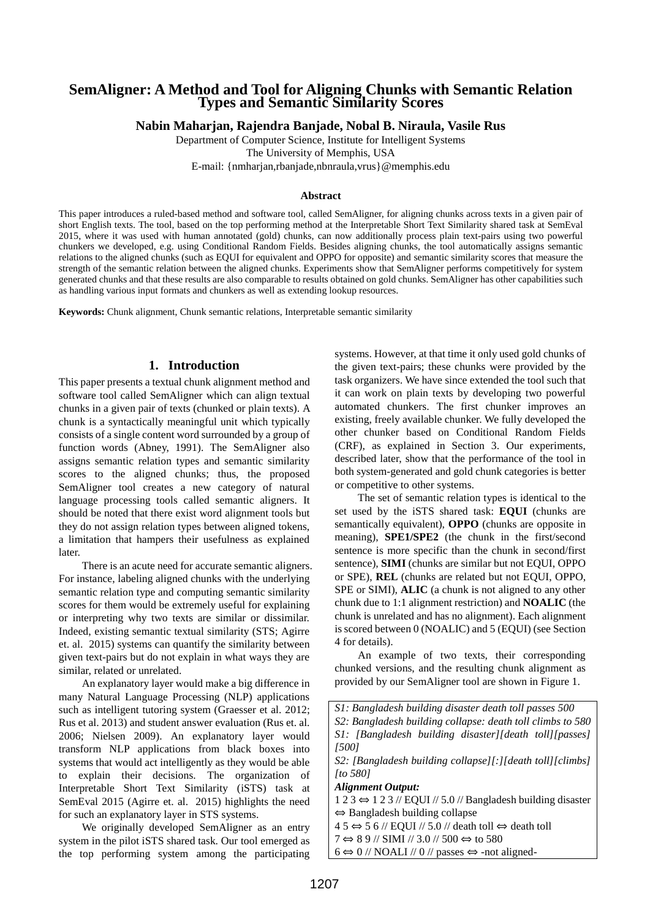# **SemAligner: A Method and Tool for Aligning Chunks with Semantic Relation Types and Semantic Similarity Scores**

**Nabin Maharjan, Rajendra Banjade, Nobal B. Niraula, Vasile Rus**

Department of Computer Science, Institute for Intelligent Systems The University of Memphis, USA E-mail: {nmharjan,rbanjade,nbnraula,vrus}@memphis.edu

#### **Abstract**

This paper introduces a ruled-based method and software tool, called SemAligner, for aligning chunks across texts in a given pair of short English texts. The tool, based on the top performing method at the Interpretable Short Text Similarity shared task at SemEval 2015, where it was used with human annotated (gold) chunks, can now additionally process plain text-pairs using two powerful chunkers we developed, e.g. using Conditional Random Fields. Besides aligning chunks, the tool automatically assigns semantic relations to the aligned chunks (such as EQUI for equivalent and OPPO for opposite) and semantic similarity scores that measure the strength of the semantic relation between the aligned chunks. Experiments show that SemAligner performs competitively for system generated chunks and that these results are also comparable to results obtained on gold chunks. SemAligner has other capabilities such as handling various input formats and chunkers as well as extending lookup resources.

**Keywords:** Chunk alignment, Chunk semantic relations, Interpretable semantic similarity

#### **1. Introduction**

This paper presents a textual chunk alignment method and software tool called SemAligner which can align textual chunks in a given pair of texts (chunked or plain texts). A chunk is a syntactically meaningful unit which typically consists of a single content word surrounded by a group of function words (Abney, 1991). The SemAligner also assigns semantic relation types and semantic similarity scores to the aligned chunks; thus, the proposed SemAligner tool creates a new category of natural language processing tools called semantic aligners. It should be noted that there exist word alignment tools but they do not assign relation types between aligned tokens, a limitation that hampers their usefulness as explained later.

There is an acute need for accurate semantic aligners. For instance, labeling aligned chunks with the underlying semantic relation type and computing semantic similarity scores for them would be extremely useful for explaining or interpreting why two texts are similar or dissimilar. Indeed, existing semantic textual similarity (STS; Agirre et. al. 2015) systems can quantify the similarity between given text-pairs but do not explain in what ways they are similar, related or unrelated.

An explanatory layer would make a big difference in many Natural Language Processing (NLP) applications such as intelligent tutoring system (Graesser et al. 2012; Rus et al. 2013) and student answer evaluation (Rus et. al. 2006; Nielsen 2009). An explanatory layer would transform NLP applications from black boxes into systems that would act intelligently as they would be able to explain their decisions. The organization of Interpretable Short Text Similarity (iSTS) task at SemEval 2015 (Agirre et. al. 2015) highlights the need for such an explanatory layer in STS systems.

We originally developed SemAligner as an entry system in the pilot iSTS shared task. Our tool emerged as the top performing system among the participating

systems. However, at that time it only used gold chunks of the given text-pairs; these chunks were provided by the task organizers. We have since extended the tool such that it can work on plain texts by developing two powerful automated chunkers. The first chunker improves an existing, freely available chunker. We fully developed the other chunker based on Conditional Random Fields (CRF), as explained in Section 3. Our experiments, described later, show that the performance of the tool in both system-generated and gold chunk categories is better or competitive to other systems.

The set of semantic relation types is identical to the set used by the iSTS shared task: **EQUI** (chunks are semantically equivalent), **OPPO** (chunks are opposite in meaning), **SPE1/SPE2** (the chunk in the first/second sentence is more specific than the chunk in second/first sentence), **SIMI** (chunks are similar but not EQUI, OPPO or SPE), **REL** (chunks are related but not EQUI, OPPO, SPE or SIMI), **ALIC** (a chunk is not aligned to any other chunk due to 1:1 alignment restriction) and **NOALIC** (the chunk is unrelated and has no alignment). Each alignment is scored between 0 (NOALIC) and 5 (EQUI) (see Section 4 for details).

An example of two texts, their corresponding chunked versions, and the resulting chunk alignment as provided by our SemAligner tool are shown in Figure 1.

*S1: Bangladesh building disaster death toll passes 500 S2: Bangladesh building collapse: death toll climbs to 580 S1: [Bangladesh building disaster][death toll][passes] [500]*

*S2: [Bangladesh building collapse][:][death toll][climbs] [to 580]*

*Alignment Output:*

 $1 2 3 \Leftrightarrow 1 2 3$  // EQUI // 5.0 // Bangladesh building disaster ⇔ Bangladesh building collapse

 $45 \Leftrightarrow 56$  // EQUI // 5.0 // death toll  $\Leftrightarrow$  death toll

 $7 \Leftrightarrow 89$  // SIMI // 3.0 // 500  $\Leftrightarrow$  to 580

 $6 \Leftrightarrow 0$  // NOALI // 0 // passes  $\Leftrightarrow$  -not aligned-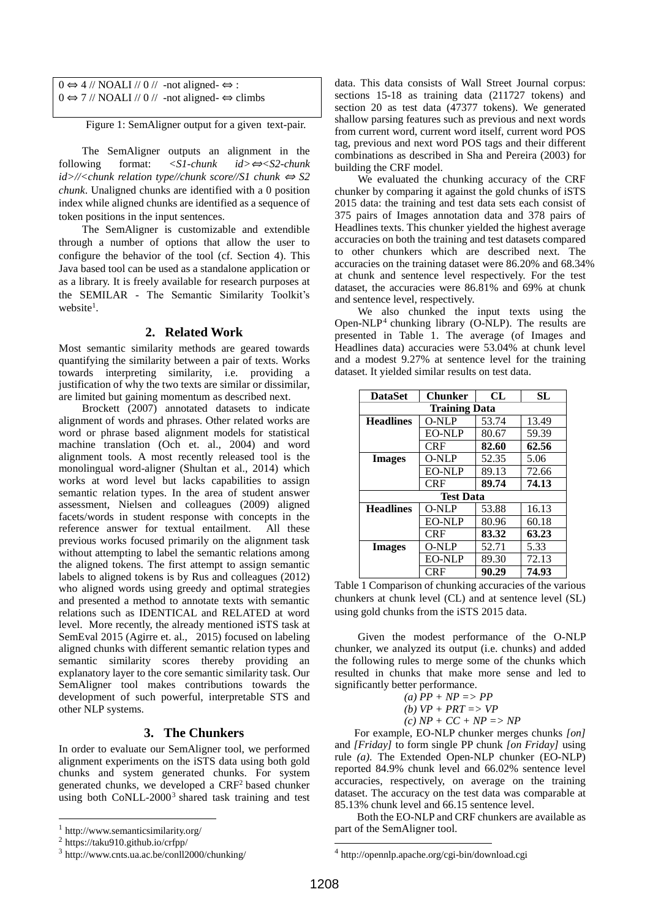| $0 \Leftrightarrow 4$ // NOALI // 0 // -not aligned- $\Leftrightarrow$ : |                                                                               |
|--------------------------------------------------------------------------|-------------------------------------------------------------------------------|
|                                                                          | $0 \Leftrightarrow 7$ // NOALI // 0 // -not aligned- $\Leftrightarrow$ climbs |

Figure 1: SemAligner output for a given text-pair.

The SemAligner outputs an alignment in the following format: *<S1-chunk id>*⇔*<S2-chunk id>//<chunk relation type//chunk score//S1 chunk* <sup>⇔</sup> *S2 chunk*. Unaligned chunks are identified with a 0 position index while aligned chunks are identified as a sequence of token positions in the input sentences.

The SemAligner is customizable and extendible through a number of options that allow the user to configure the behavior of the tool (cf. Section 4). This Java based tool can be used as a standalone application or as a library. It is freely available for research purposes at the SEMILAR - The Semantic Similarity Toolkit's website<sup>1</sup>.

## **2. Related Work**

Most semantic similarity methods are geared towards quantifying the similarity between a pair of texts. Works towards interpreting similarity, i.e. providing a justification of why the two texts are similar or dissimilar, are limited but gaining momentum as described next.

Brockett (2007) annotated datasets to indicate alignment of words and phrases. Other related works are word or phrase based alignment models for statistical machine translation (Och et. al., 2004) and word alignment tools. A most recently released tool is the monolingual word-aligner (Shultan et al., 2014) which works at word level but lacks capabilities to assign semantic relation types. In the area of student answer assessment, Nielsen and colleagues (2009) aligned facets/words in student response with concepts in the reference answer for textual entailment. All these previous works focused primarily on the alignment task without attempting to label the semantic relations among the aligned tokens. The first attempt to assign semantic labels to aligned tokens is by Rus and colleagues (2012) who aligned words using greedy and optimal strategies and presented a method to annotate texts with semantic relations such as IDENTICAL and RELATED at word level. More recently, the already mentioned iSTS task at SemEval 2015 (Agirre et. al., 2015) focused on labeling aligned chunks with different semantic relation types and semantic similarity scores thereby providing an explanatory layer to the core semantic similarity task. Our SemAligner tool makes contributions towards the development of such powerful, interpretable STS and other NLP systems.

## **3. The Chunkers**

In order to evaluate our SemAligner tool, we performed alignment experiments on the iSTS data using both gold chunks and system generated chunks. For system generated chunks, we developed a CRF<sup>2</sup> based chunker using both  $CoNLL-2000^3$  shared task training and test

l

data. This data consists of Wall Street Journal corpus: sections 15-18 as training data (211727 tokens) and section 20 as test data (47377 tokens). We generated shallow parsing features such as previous and next words from current word, current word itself, current word POS tag, previous and next word POS tags and their different combinations as described in Sha and Pereira (2003) for building the CRF model.

We evaluated the chunking accuracy of the CRF chunker by comparing it against the gold chunks of iSTS 2015 data: the training and test data sets each consist of 375 pairs of Images annotation data and 378 pairs of Headlines texts. This chunker yielded the highest average accuracies on both the training and test datasets compared to other chunkers which are described next. The accuracies on the training dataset were 86.20% and 68.34% at chunk and sentence level respectively. For the test dataset, the accuracies were 86.81% and 69% at chunk and sentence level, respectively.

We also chunked the input texts using the Open-NLP<sup>4</sup> chunking library (O-NLP). The results are presented in Table 1. The average (of Images and Headlines data) accuracies were 53.04% at chunk level and a modest 9.27% at sentence level for the training dataset. It yielded similar results on test data.

| <b>DataSet</b>       | <b>Chunker</b> | CL    | SL    |  |  |  |  |
|----------------------|----------------|-------|-------|--|--|--|--|
| <b>Training Data</b> |                |       |       |  |  |  |  |
| <b>Headlines</b>     | <b>O-NLP</b>   | 53.74 | 13.49 |  |  |  |  |
|                      | <b>EO-NLP</b>  | 80.67 | 59.39 |  |  |  |  |
|                      | <b>CRF</b>     | 82.60 | 62.56 |  |  |  |  |
| <b>Images</b>        | O-NLP          | 52.35 | 5.06  |  |  |  |  |
|                      | <b>EO-NLP</b>  | 89.13 | 72.66 |  |  |  |  |
|                      | <b>CRF</b>     | 89.74 | 74.13 |  |  |  |  |
| <b>Test Data</b>     |                |       |       |  |  |  |  |
| <b>Headlines</b>     | O-NLP          | 53.88 | 16.13 |  |  |  |  |
|                      | <b>EO-NLP</b>  | 80.96 | 60.18 |  |  |  |  |
|                      | CRF            | 83.32 | 63.23 |  |  |  |  |
| <b>Images</b>        | O-NLP          | 52.71 | 5.33  |  |  |  |  |
|                      | <b>EO-NLP</b>  | 89.30 | 72.13 |  |  |  |  |
|                      | CRF            | 90.29 | 74.93 |  |  |  |  |

Table 1 Comparison of chunking accuracies of the various chunkers at chunk level (CL) and at sentence level (SL) using gold chunks from the iSTS 2015 data.

Given the modest performance of the O-NLP chunker, we analyzed its output (i.e. chunks) and added the following rules to merge some of the chunks which resulted in chunks that make more sense and led to significantly better performance.

(a) 
$$
PP + NP \Rightarrow PP
$$
  
\n(b)  $VP + PRT \Rightarrow VP$ 

*(c) NP + CC + NP => NP*

For example, EO-NLP chunker merges chunks *[on]* and *[Friday]* to form single PP chunk *[on Friday]* using rule *(a)*. The Extended Open-NLP chunker (EO-NLP) reported 84.9% chunk level and 66.02% sentence level accuracies, respectively, on average on the training dataset. The accuracy on the test data was comparable at 85.13% chunk level and 66.15 sentence level.

Both the EO-NLP and CRF chunkers are available as part of the SemAligner tool.

.

<sup>1</sup> <http://www.semanticsimilarity.org/>

<sup>2</sup> https://taku910.github.io/crfpp/

<sup>3</sup> http://www.cnts.ua.ac.be/conll2000/chunking/

<sup>4</sup> http://opennlp.apache.org/cgi-bin/download.cgi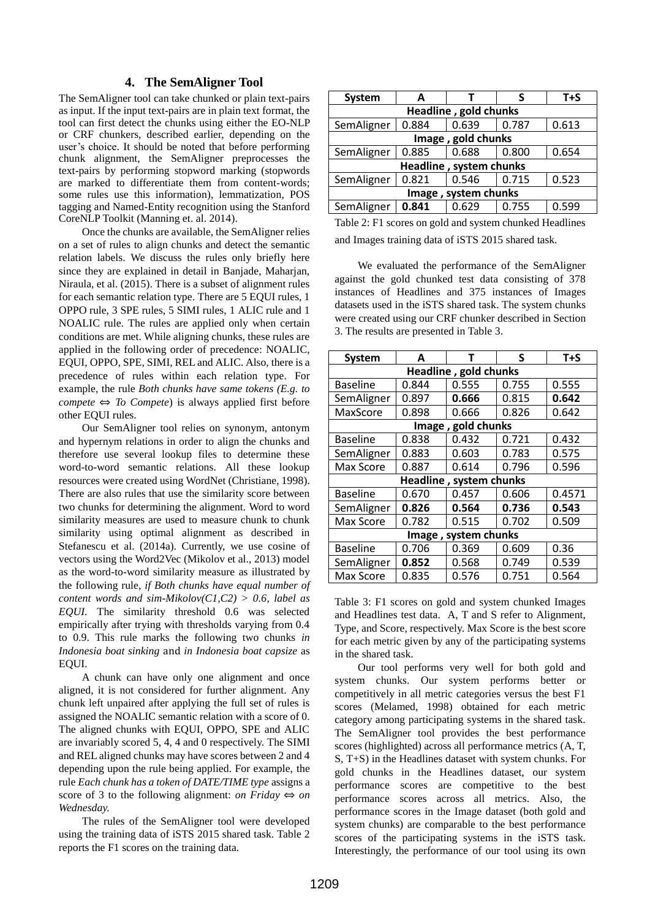# **4. The SemAligner Tool**

The SemAligner tool can take chunked or plain text-pairs as input. If the input text-pairs are in plain text format, the tool can first detect the chunks using either the EO-NLP or CRF chunkers, described earlier, depending on the user's choice. It should be noted that before performing chunk alignment, the SemAligner preprocesses the text-pairs by performing stopword marking (stopwords are marked to differentiate them from content-words; some rules use this information), lemmatization, POS tagging and Named-Entity recognition using the Stanford CoreNLP Toolkit (Manning et. al. 2014).

Once the chunks are available, the SemAligner relies on a set of rules to align chunks and detect the semantic relation labels. We discuss the rules only briefly here since they are explained in detail in Banjade, Maharjan, Niraula, et al. (2015). There is a subset of alignment rules for each semantic relation type. There are 5 EQUI rules, 1 OPPO rule, 3 SPE rules, 5 SIMI rules, 1 ALIC rule and 1 NOALIC rule. The rules are applied only when certain conditions are met. While aligning chunks, these rules are applied in the following order of precedence: NOALIC, EQUI, OPPO, SPE, SIMI, REL and ALIC. Also, there is a precedence of rules within each relation type. For example, the rule *Both chunks have same tokens (E.g. to compete*  $\Leftrightarrow$  *To Compete*) is always applied first before other EQUI rules.

Our SemAligner tool relies on synonym, antonym and hypernym relations in order to align the chunks and therefore use several lookup files to determine these word-to-word semantic relations. All these lookup resources were created using WordNet (Christiane, 1998). There are also rules that use the similarity score between two chunks for determining the alignment. Word to word similarity measures are used to measure chunk to chunk similarity using optimal alignment as described in Stefanescu et al. (2014a). Currently, we use cosine of vectors using the Word2Vec (Mikolov et al., 2013) model as the word-to-word similarity measure as illustrated by the following rule, *if Both chunks have equal number of content words and sim-Mikolov(C1,C2) > 0.6, label as EQUI.* The similarity threshold 0.6 was selected empirically after trying with thresholds varying from 0.4 to 0.9. This rule marks the following two chunks *in Indonesia boat sinking* and *in Indonesia boat capsize* as EQUI*.*

A chunk can have only one alignment and once aligned, it is not considered for further alignment. Any chunk left unpaired after applying the full set of rules is assigned the NOALIC semantic relation with a score of 0. The aligned chunks with EQUI, OPPO, SPE and ALIC are invariably scored 5, 4, 4 and 0 respectively. The SIMI and REL aligned chunks may have scores between 2 and 4 depending upon the rule being applied. For example, the rule *Each chunk has a token of DATE/TIME type* assigns a score of 3 to the following alignment: *on Friday*  $\Leftrightarrow$  *on Wednesday.*

The rules of the SemAligner tool were developed using the training data of iSTS 2015 shared task. Table 2 reports the F1 scores on the training data.

| System                  | А     |       |       | $T + S$ |  |  |
|-------------------------|-------|-------|-------|---------|--|--|
| Headline, gold chunks   |       |       |       |         |  |  |
| SemAligner              | 0.884 | 0.639 | 0.787 | 0.613   |  |  |
| Image, gold chunks      |       |       |       |         |  |  |
| SemAligner              | 0.885 | 0.688 | 0.800 | 0.654   |  |  |
| Headline, system chunks |       |       |       |         |  |  |
| SemAligner              | 0.821 | 0.546 | 0.715 | 0.523   |  |  |
| Image, system chunks    |       |       |       |         |  |  |
| SemAligner              | 0.841 | 0.629 | 0.755 | 0.599   |  |  |

Table 2: F1 scores on gold and system chunked Headlines and Images training data of iSTS 2015 shared task.

We evaluated the performance of the SemAligner against the gold chunked test data consisting of 378 instances of Headlines and 375 instances of Images datasets used in the iSTS shared task. The system chunks were created using our CRF chunker described in Section 3. The results are presented in Table 3.

| <b>System</b>           | A     | т     | S     | $T + S$ |  |  |
|-------------------------|-------|-------|-------|---------|--|--|
| Headline, gold chunks   |       |       |       |         |  |  |
| <b>Baseline</b>         | 0.844 | 0.555 | 0.755 | 0.555   |  |  |
| SemAligner              | 0.897 | 0.666 | 0.815 | 0.642   |  |  |
| MaxScore                | 0.898 | 0.666 | 0.826 | 0.642   |  |  |
| gold chunks<br>Image,   |       |       |       |         |  |  |
| <b>Baseline</b>         | 0.838 | 0.432 | 0.721 | 0.432   |  |  |
| SemAligner              | 0.883 | 0.603 | 0.783 | 0.575   |  |  |
| Max Score               | 0.887 | 0.614 | 0.796 | 0.596   |  |  |
| Headline, system chunks |       |       |       |         |  |  |
| <b>Baseline</b>         | 0.670 | 0.457 | 0.606 | 0.4571  |  |  |
| SemAligner              | 0.826 | 0.564 | 0.736 | 0.543   |  |  |
| Max Score               | 0.782 | 0.515 | 0.702 | 0.509   |  |  |
| Image, system chunks    |       |       |       |         |  |  |
| <b>Baseline</b>         | 0.706 | 0.369 | 0.609 | 0.36    |  |  |
| SemAligner              | 0.852 | 0.568 | 0.749 | 0.539   |  |  |
| Max Score               | 0.835 | 0.576 | 0.751 | 0.564   |  |  |

Table 3: F1 scores on gold and system chunked Images and Headlines test data. A, T and S refer to Alignment, Type, and Score, respectively. Max Score is the best score for each metric given by any of the participating systems in the shared task.

Our tool performs very well for both gold and system chunks. Our system performs better or competitively in all metric categories versus the best F1 scores (Melamed, 1998) obtained for each metric category among participating systems in the shared task. The SemAligner tool provides the best performance scores (highlighted) across all performance metrics (A, T, S, T+S) in the Headlines dataset with system chunks. For gold chunks in the Headlines dataset, our system performance scores are competitive to the best performance scores across all metrics. Also, the performance scores in the Image dataset (both gold and system chunks) are comparable to the best performance scores of the participating systems in the iSTS task. Interestingly, the performance of our tool using its own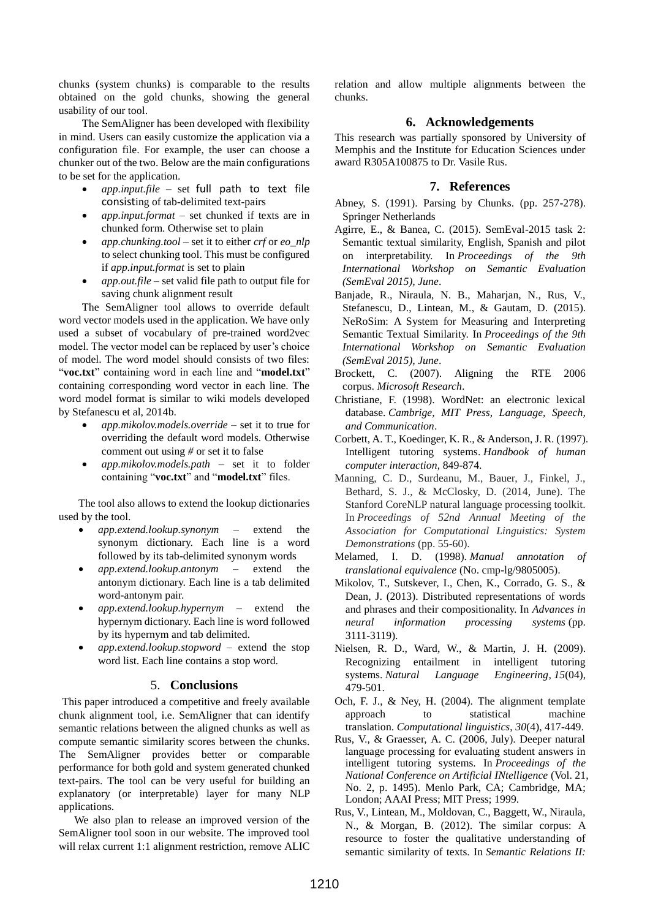chunks (system chunks) is comparable to the results obtained on the gold chunks, showing the general usability of our tool.

The SemAligner has been developed with flexibility in mind. Users can easily customize the application via a configuration file. For example, the user can choose a chunker out of the two. Below are the main configurations to be set for the application.

- *app.input.file*  set full path to text file consisting of tab-delimited text-pairs
- *app.input.format* set chunked if texts are in chunked form. Otherwise set to plain
- *app.chunking.tool* set it to either *crf* or *eo\_nlp* to select chunking tool. This must be configured if *app.input.format* is set to plain
- *app.out.file* set valid file path to output file for saving chunk alignment result

The SemAligner tool allows to override default word vector models used in the application. We have only used a subset of vocabulary of pre-trained word2vec model. The vector model can be replaced by user's choice of model. The word model should consists of two files: "**voc.txt**" containing word in each line and "**model.txt**" containing corresponding word vector in each line. The word model format is similar to wiki models developed by Stefanescu et al, 2014b.

- *app.mikolov.models.override* set it to true for overriding the default word models. Otherwise comment out using *#* or set it to false
- *app.mikolov.models.path* set it to folder containing "**voc.txt**" and "**model.txt**" files.

The tool also allows to extend the lookup dictionaries used by the tool.

- *app.extend.lookup.synonym* extend the synonym dictionary. Each line is a word followed by its tab-delimited synonym words
- *app.extend.lookup.antonym* extend the antonym dictionary. Each line is a tab delimited word-antonym pair.
- *app.extend.lookup.hypernym* extend the hypernym dictionary. Each line is word followed by its hypernym and tab delimited.
- *app.extend.lookup.stopword* extend the stop word list. Each line contains a stop word.

#### 5. **Conclusions**

This paper introduced a competitive and freely available chunk alignment tool, i.e. SemAligner that can identify semantic relations between the aligned chunks as well as compute semantic similarity scores between the chunks. The SemAligner provides better or comparable performance for both gold and system generated chunked text-pairs. The tool can be very useful for building an explanatory (or interpretable) layer for many NLP applications.

We also plan to release an improved version of the SemAligner tool soon in our website. The improved tool will relax current 1:1 alignment restriction, remove ALIC relation and allow multiple alignments between the chunks.

#### **6. Acknowledgements**

This research was partially sponsored by University of Memphis and the Institute for Education Sciences under award R305A100875 to Dr. Vasile Rus.

#### **7. References**

- Abney, S. (1991). Parsing by Chunks. (pp. 257-278). Springer Netherlands
- Agirre, E., & Banea, C. (2015). SemEval-2015 task 2: Semantic textual similarity, English, Spanish and pilot on interpretability. In *Proceedings of the 9th International Workshop on Semantic Evaluation (SemEval 2015), June*.
- Banjade, R., Niraula, N. B., Maharjan, N., Rus, V., Stefanescu, D., Lintean, M., & Gautam, D. (2015). NeRoSim: A System for Measuring and Interpreting Semantic Textual Similarity. In *Proceedings of the 9th International Workshop on Semantic Evaluation (SemEval 2015), June*.
- Brockett, C. (2007). Aligning the RTE 2006 corpus. *Microsoft Research*.
- Christiane, F. (1998). WordNet: an electronic lexical database. *Cambrige, MIT Press, Language, Speech, and Communication*.
- Corbett, A. T., Koedinger, K. R., & Anderson, J. R. (1997). Intelligent tutoring systems. *Handbook of human computer interaction*, 849-874.
- Manning, C. D., Surdeanu, M., Bauer, J., Finkel, J., Bethard, S. J., & McClosky, D. (2014, June). The Stanford CoreNLP natural language processing toolkit. In *Proceedings of 52nd Annual Meeting of the Association for Computational Linguistics: System Demonstrations* (pp. 55-60).
- Melamed, I. D. (1998). *Manual annotation of translational equivalence* (No. cmp-lg/9805005).
- Mikolov, T., Sutskever, I., Chen, K., Corrado, G. S., & Dean, J. (2013). Distributed representations of words and phrases and their compositionality. In *Advances in neural information processing systems* (pp. 3111-3119).
- Nielsen, R. D., Ward, W., & Martin, J. H. (2009). Recognizing entailment in intelligent tutoring systems. *Natural Language Engineering*, *15*(04), 479-501.
- Och, F. J., & Ney, H. (2004). The alignment template approach to statistical machine translation. *Computational linguistics*, *30*(4), 417-449.
- Rus, V., & Graesser, A. C. (2006, July). Deeper natural language processing for evaluating student answers in intelligent tutoring systems. In *Proceedings of the National Conference on Artificial INtelligence* (Vol. 21, No. 2, p. 1495). Menlo Park, CA; Cambridge, MA; London; AAAI Press; MIT Press; 1999.
- Rus, V., Lintean, M., Moldovan, C., Baggett, W., Niraula, N., & Morgan, B. (2012). The similar corpus: A resource to foster the qualitative understanding of semantic similarity of texts. In *Semantic Relations II:*